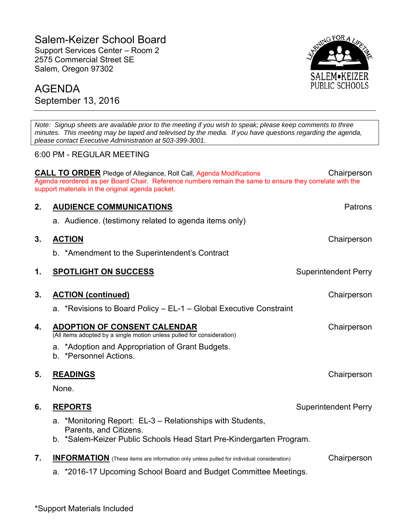# Salem-Keizer School Board

Support Services Center – Room 2 2575 Commercial Street SE Salem, Oregon 97302



# AGENDA September 13, 2016

*Note: Signup sheets are available prior to the meeting if you wish to speak; please keep comments to three minutes. This meeting may be taped and televised by the media. If you have questions regarding the agenda, please contact Executive Administration at 503-399-3001.*  6:00 PM - REGULAR MEETING **CALL TO ORDER** Pledge of Allegiance, Roll Call, Agenda Modifications Chairperson Agenda reordered as per Board Chair. Reference numbers remain the same to ensure they correlate with the support materials in the original agenda packet. **2. AUDIENCE COMMUNICATIONS Patrons Patrons** a. Audience. (testimony related to agenda items only) **3. ACTION** Chairperson b. \*Amendment to the Superintendent's Contract **1. SPOTLIGHT ON SUCCESS** Superintendent Perry **3. ACTION (continued)** Chairperson a. \*Revisions to Board Policy – EL-1 – Global Executive Constraint **4. ADOPTION OF CONSENT CALENDAR** (All items adopted by a single motion unless pulled for consideration) a. \*Adoption and Appropriation of Grant Budgets. b. \*Personnel Actions.

## **5. READINGS** Chairperson Chairperson Chairperson Chairperson Chairperson Chairperson

None.

- **6.** REPORTS **Superintendent Perry** Superintendent Perry
	- a. \*Monitoring Report: EL-3 Relationships with Students, Parents, and Citizens.
	- b. \*Salem-Keizer Public Schools Head Start Pre-Kindergarten Program.

|  |  | <b>INFORMATION</b> (These items are information only unless pulled for individual consideration) | Chairperson |
|--|--|--------------------------------------------------------------------------------------------------|-------------|
|--|--|--------------------------------------------------------------------------------------------------|-------------|

a. \*2016-17 Upcoming School Board and Budget Committee Meetings.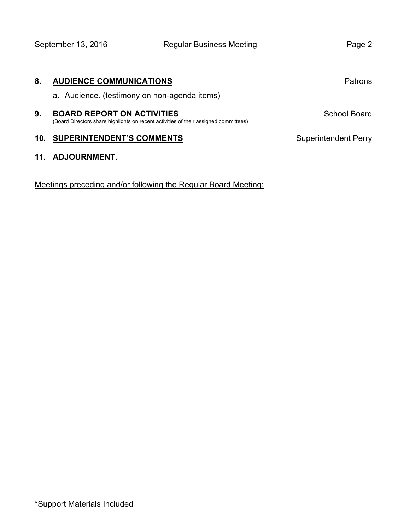| 8. | <b>AUDIENCE COMMUNICATIONS</b>                                                                                            | Patrons                     |
|----|---------------------------------------------------------------------------------------------------------------------------|-----------------------------|
|    | a. Audience. (testimony on non-agenda items)                                                                              |                             |
| 9. | <b>BOARD REPORT ON ACTIVITIES</b><br>(Board Directors share highlights on recent activities of their assigned committees) | School Board                |
|    | <b>10. SUPERINTENDENT'S COMMENTS</b>                                                                                      | <b>Superintendent Perry</b> |

## **11. ADJOURNMENT.**

Meetings preceding and/or following the Regular Board Meeting: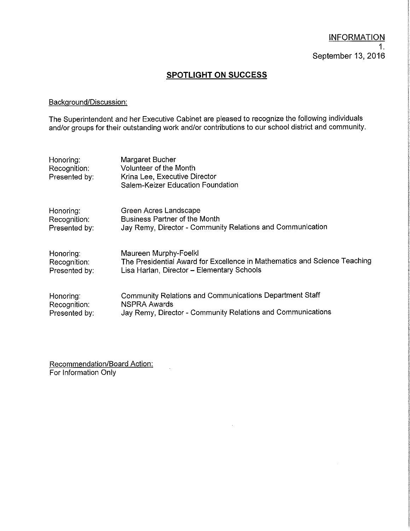## **SPOTLIGHT ON SUCCESS**

## Background/Discussion:

The Superintendent and her Executive Cabinet are pleased to recognize the following individuals<br>and/or groups for their outstanding work and/or contributions to our school district and community.

| Honoring:<br>Recognition:<br>Presented by: | Margaret Bucher<br>Volunteer of the Month<br>Krina Lee, Executive Director<br>Salem-Keizer Education Foundation |
|--------------------------------------------|-----------------------------------------------------------------------------------------------------------------|
| Honoring:                                  | Green Acres Landscape                                                                                           |
| Recognition:                               | <b>Business Partner of the Month</b>                                                                            |
| Presented by:                              | Jay Remy, Director - Community Relations and Communication                                                      |
| Honoring:                                  | Maureen Murphy-Foelkl                                                                                           |
| Recognition:                               | The Presidential Award for Excellence in Mathematics and Science Teaching                                       |
| Presented by:                              | Lisa Harlan, Director - Elementary Schools                                                                      |
| Honoring:                                  | Community Relations and Communications Department Staff                                                         |
| Recognition:                               | <b>NSPRA Awards</b>                                                                                             |
| Presented by:                              | Jay Remy, Director - Community Relations and Communications                                                     |

Recommendation/Board Action:<br>For Information Only

 $\mathcal{L}_{\text{eff}}$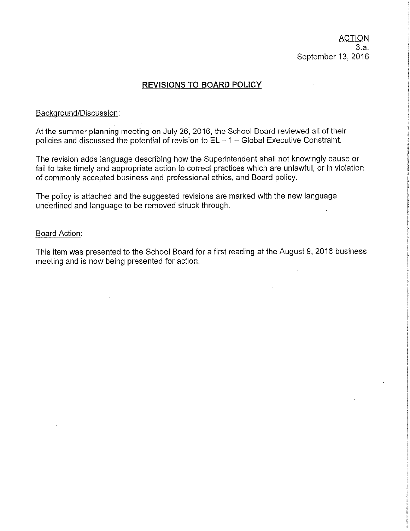## **REVISIONS TO BOARD POLICY**

#### Background/Discussion:

At the summer planning meeting on July 26, 2016, the School Board reviewed all of their policies and discussed the potential of revision to  $EL - 1 - Global Executive Constant$ .

The revision adds language describing how the Superintendent shall not knowingly cause or fail to take timely and appropriate action to correct practices which are unlawful, or in violation of commonly accepted business and professional ethics, and Board policy.

The policy is attached and the suggested revisions are marked with the new language underlined and language to be removed struck through.

#### Board Action:

This item was presented to the School Board for a first reading at the August 9, 2016 business meeting and is now being presented for action.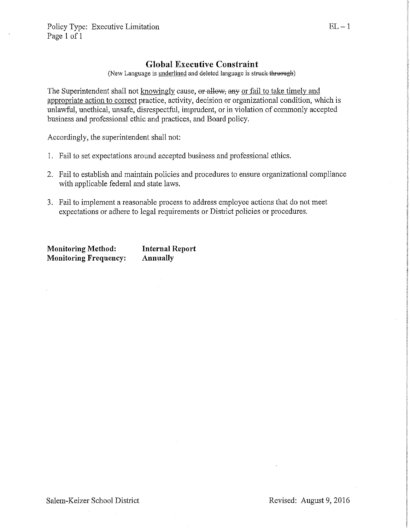## **Global Executive Constraint**

(New Language is underlined and deleted language is struck thruough)

The Superintendent shall not knowingly cause, or allow, any or fail to take timely and appropriate action to correct practice, activity, decision or organizational condition, which is unlawful, unethical, unsafe, disrespectful, imprudent, or in violation of commonly accepted business and professional ethic and practices, and Board policy.

Accordingly, the superintendent shall not:

- 1. Fail to set expectations around accepted business and professional ethics.
- 2. Fail to establish and maintain policies and procedures to ensure organizational compliance with applicable federal and state laws.
- 3. Fail to implement a reasonable process to address employee actions that do not meet expectations or adhere to legal requirements or District policies or procedures.

**Monitoring Method: Internal Report Monitoring Frequency:** Annually

 $\sim$   $\omega$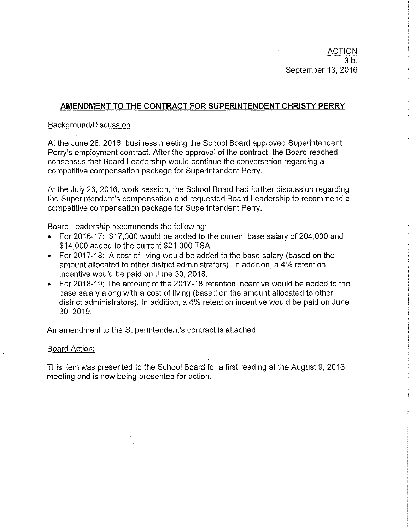## AMENDMENT TO THE CONTRACT FOR SUPERINTENDENT CHRISTY PERRY

## Background/Discussion

At the June 28, 2016, business meeting the School Board approved Superintendent Perry's employment contract. After the approval of the contract, the Board reached consensus that Board Leadership would continue the conversation regarding a competitive compensation package for Superintendent Perry.

At the July 26, 2016, work session, the School Board had further discussion regarding the Superintendent's compensation and requested Board Leadership to recommend a competitive compensation package for Superintendent Perry.

Board Leadership recommends the following:

- For 2016-17: \$17,000 would be added to the current base salary of 204,000 and \$14,000 added to the current \$21,000 TSA.
- For 2017-18: A cost of living would be added to the base salary (based on the amount allocated to other district administrators). In addition, a 4% retention incentive would be paid on June 30, 2018.
- For 2018-19; The amount of the 2017-18 retention incentive would be added to the base salary along with a cost of living (based on the amount allocated to other district administrators). In addition, a 4% retention incentive would be paid on June 30, 2019.

An amendment to the Superintendent's contract is attached.

## Board Action:

This item was presented to the School Board for a first reading at the August 9, 2016 meeting and is now being presented for action.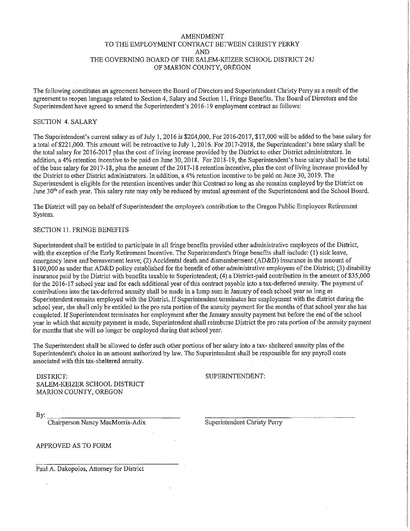#### **AMENDMENT** TO THE EMPLOYMENT CONTRACT BETWEEN CHRISTY PERRY **AND** THE GOVERNING BOARD OF THE SALEM-KEIZER SCHOOL DISTRICT 24J OF MARION COUNTY, OREGON

The following constitutes an agreement between the Board of Directors and Superintendent Christy Perry as a result of the agreement to reopen language related to Section 4, Salary and Section 11, Fringe Benefits. The Board of Directors and the Superintendent have agreed to amend the Superintendent's 2016-19 employment contract as follows:

#### **SECTION 4. SALARY**

The Superintendent's current salary as of July 1, 2016 is \$204,000. For 2016-2017, \$17,000 will be added to the base salary for a total of \$221,000. This amount will be retroactive to July 1, 2016. For 2017-2018, the Superintendent's base salary shall be the total salary for 2016-2017 plus the cost of living increase provided by the District to other District administrators. In addition, a 4% retention incentive to be paid on June 30, 2018. For 2018-19, the Superintendent's base salary shall be the total of the base salary for 2017-18, plus the amount of the 2017-18 retention incentive, plus the cost of living increase provided by the District to other District administrators. In addition, a 4% retention incentive to be paid on June 30, 2019. The Superintendent is eligible for the retention incentives under this Contract so long as she remains employed by the District on June 30<sup>th</sup> of each year. This salary rate may only be reduced by mutual agreement of the Superintendent and the School Board.

The District will pay on behalf of Superintendent the employee's contribution to the Oregon Public Employees Retirement System.

#### SECTION 11. FRINGE BENEFITS

Superintendent shall be entitled to participate in all fringe benefits provided other administrative employees of the District, with the exception of the Early Retirement Incentive. The Superintendent's fringe benefits shall include: (1) sick leave, emergency leave and bereavement leave; (2) Accidental death and dismemberment ( $AD&D$ ) insurance in the amount of \$100,000 as under that AD&D policy established for the benefit of other administrative employees of the District; (3) disability insurance paid by the District with benefits taxable to Superintendent; (4) a District-paid contribution in the amount of \$35,000 for the 2016-17 school year and for each additional year of this contract payable into a tax-deferred annuity. The payment of contributions into the tax-deferred annuity shall be made in a lump sum in January of each school year so long as Superintendent remains employed with the District. If Superintendent terminates her employment with the district during the school year, she shall only be entitled to the pro rata portion of the annuity payment for the months of that school year she has completed. If Superintendent terminates her employment after the January annuity payment but before the end of the school vear in which that annuity payment is made. Superintendent shall reimburse District the pro rata portion of the annuity payment for months that she will no longer be employed during that school year.

The Superintendent shall be allowed to defer such other portions of her salary into a tax- sheltered annuity plan of the Superintendent's choice in an amount authorized by law. The Superintendent shall be responsible for any payroll costs associated with this tax-sheltered annuity.

DISTRICT: SALEM-KEIZER SCHOOL DISTRICT MARION COUNTY, OREGON

SUPERINTENDENT:

By:

Chairperson Nancy MacMorris-Adix

Superintendent Christy Perry

APPROVED AS TO FORM

Paul A. Dakopolos, Attorney for District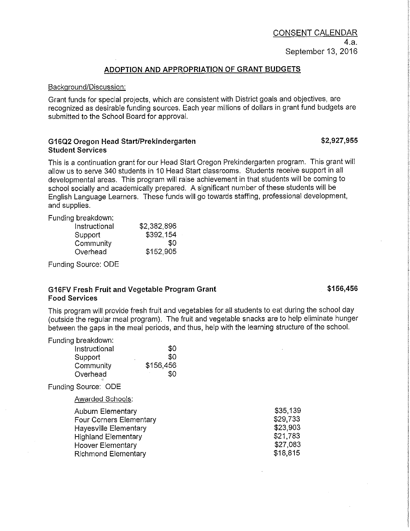### ADOPTION AND APPROPRIATION OF GRANT BUDGETS

#### Background/Discussion:

Grant funds for special projects, which are consistent with District goals and objectives, are recognized as desirable funding sources. Each year millions of dollars in grant fund budgets are submitted to the School Board for approval.

#### G16Q2 Oregon Head Start/Prekindergarten **Student Services**

This is a continuation grant for our Head Start Oregon Prekindergarten program. This grant will allow us to serve 340 students in 10 Head Start classrooms. Students receive support in all developmental areas. This program will raise achievement in that students will be coming to school socially and academically prepared. A significant number of these students will be English Language Learners. These funds will go towards staffing, professional development, and supplies.

Funding breakdown:

| Instructional | \$2,382.896 |
|---------------|-------------|
| Support       | \$392,154   |
| Community     | 80          |
| Overhead      | \$152,905   |

Funding Source: ODE

#### G16FV Fresh Fruit and Vegetable Program Grant **Food Services**

This program will provide fresh fruit and vegetables for all students to eat during the school day (outside the regular meal program). The fruit and vegetable snacks are to help eliminate hunger between the gaps in the meal periods, and thus, help with the learning structure of the school.

| Funding breakdown: |           |
|--------------------|-----------|
| Instructional      | \$0       |
| Support            | \$0<br>٠  |
| Community          | \$156,456 |
| Overhead           | \$O.      |

Funding Source: ODE

#### Awarded Schools:

| <b>Auburn Elementary</b>       | \$35,139 |
|--------------------------------|----------|
| <b>Four Corners Elementary</b> | \$29,733 |
| <b>Hayesville Elementary</b>   | \$23,903 |
| <b>Highland Elementary</b>     | \$21,783 |
| <b>Hoover Elementary</b>       | \$27,083 |
| <b>Richmond Elementary</b>     | \$18,815 |

\$156,456

\$2,927,955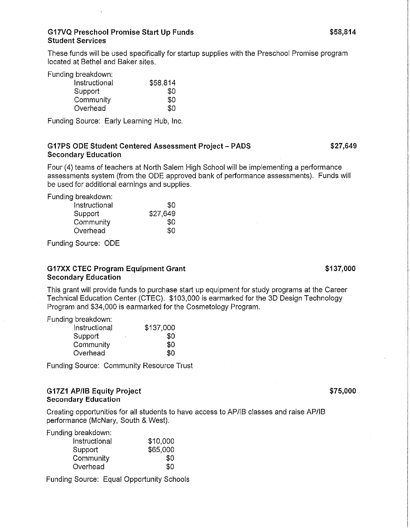These funds will be used specifically for startup supplies with the Preschool Promise program located at Bethel and Baker sites.

Funding breakdown:

| Instructional | \$58,814 |
|---------------|----------|
| Support       | 30       |
| Community     | SO.      |
| Overhead      | 80       |

Funding Source: Early Learning Hub, Inc.

## G17PS ODE Student Centered Assessment Project - PADS **Secondary Education**

Four (4) teams of teachers at North Salem High School will be implementing a performance assessments system (from the ODE approved bank of performance assessments). Funds will be used for additional earnings and supplies.

Funding breakdown:

| Instructional | 80.      |
|---------------|----------|
| Support       | \$27,649 |
| Community     | SO.      |
| Overhead      | SO.      |
|               |          |

Funding Source: ODE

## **G17XX CTEC Program Equipment Grant Secondary Education**

This grant will provide funds to purchase start up equipment for study programs at the Career Technical Education Center (CTEC). \$103,000 is earmarked for the 3D Design Technology Program and \$34,000 is earmarked for the Cosmetology Program.

Funding breakdown:

| Instructional | \$137,000 |
|---------------|-----------|
| Support       | SO        |
| Community     | \$0       |
| Overhead      | \$0       |

Funding Source: Community Resource Trust

## G17Z1 AP/IB Equity Project **Secondary Education**

Creating opportunities for all students to have access to AP/IB classes and raise AP/IB performance (McNary, South & West).

Funding breakdown:

| \$10,000 |
|----------|
| \$65,000 |
| \$0.     |
| 80       |
|          |

Funding Source: Equal Opportunity Schools

\$27,649

\$75,000

\$137,000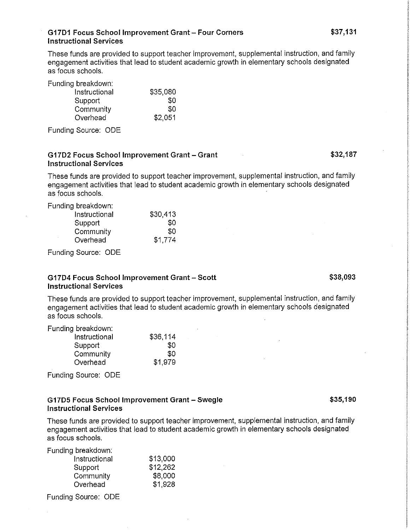#### G17D1 Focus School Improvement Grant - Four Corners **Instructional Services**

These funds are provided to support teacher improvement, supplemental instruction, and family engagement activities that lead to student academic growth in elementary schools designated as focus schools.

Funding breakdown:

| Instructional | \$35,080 |
|---------------|----------|
| Support       | 30       |
| Community     | 30       |
| Overhead      | \$2.051  |

Funding Source: ODE

#### G17D2 Focus School Improvement Grant - Grant **Instructional Services**

These funds are provided to support teacher improvement, supplemental instruction, and family engagement activities that lead to student academic growth in elementary schools designated as focus schools.

Funding breakdown:

| Instructional | \$30,413 |
|---------------|----------|
| Support       | 80       |
| Community     | \$0      |
| Overhead      | \$1.774  |

Funding Source: ODE

#### G17D4 Focus School Improvement Grant - Scott **Instructional Services**

These funds are provided to support teacher improvement, supplemental instruction, and family engagement activities that lead to student academic growth in elementary schools designated as focus schools.

Funding breakdown:

| Instructional | \$36,114 |
|---------------|----------|
| Support       | \$0      |
| Community     | 30       |
| Overhead      | \$1.979  |

Funding Source: ODE

#### G17D5 Focus School Improvement Grant - Swegle **Instructional Services**

These funds are provided to support teacher improvement, supplemental instruction, and family engagement activities that lead to student academic growth in elementary schools designated as focus schools.

Funding breakdown:

| Instructional | \$13,000 |
|---------------|----------|
| Support       | \$12,262 |
| Community     | \$8,000  |
| Overhead      | \$1,928  |
|               |          |

Funding Source: ODE

\$32,187

\$38,093

\$35,190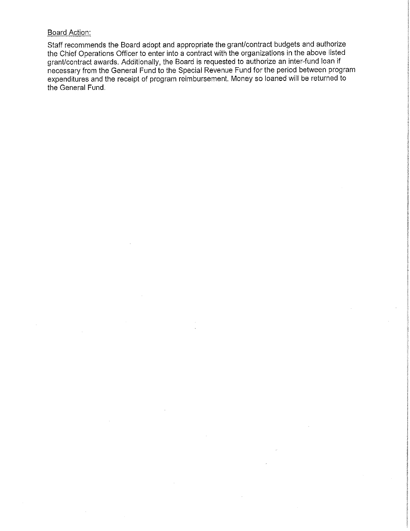### **Board Action:**

Staff recommends the Board adopt and appropriate the grant/contract budgets and authorize the Chief Operations Officer to enter into a contract with the organizations in the above listed grant/contract awards. Additionally, the Board is requested to authorize an inter-fund loan if necessary from the General Fund to the Special Revenue Fund for the period between program expenditures and the receipt of program reimbursement. Money so loaned will be returned to the General Fund.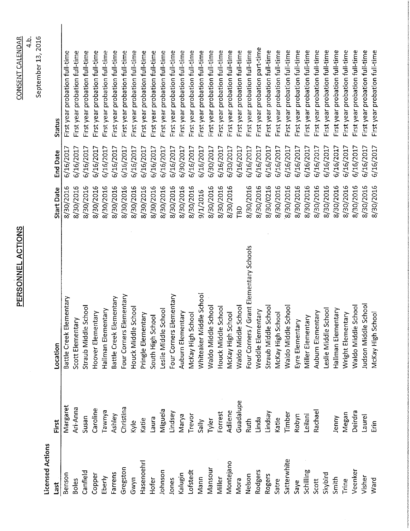| i |
|---|
|   |
|   |
|   |
|   |
|   |
|   |
|   |
|   |
| г |
|   |
|   |
|   |
|   |

 $\ddot{\phantom{a}}$ 

4.b.<br>September 13, 2016 **CONSENT CALENDAR** 

**Licensed Actions** 

| Last         | First         | Location                                | <b>Start Date</b> | <b>End Date</b> | Status                         |
|--------------|---------------|-----------------------------------------|-------------------|-----------------|--------------------------------|
| Benson       | Margaret      | Battle Creek Elementary                 | 8/30/2016         | 6/16/2017       | First year probation full-time |
| <b>Boles</b> | Ari-Anna      | Scott Elementary                        | 8/30/2016         | 6/16/2017       | First year probation full-time |
| Canfield     | Susan         | Straub Middle Schoo                     | 8/30/2016         | 6/16/2017       | First year probation full-time |
| Copper       | Caroline      | Hoover Elementary                       | 8/30/2016         | 6/16/2017       | First year probation full-time |
| Eberly       | <b>E</b> vuwe | Hallman Elementary                      | 8/30/2016         | 6/16/2017       | First year probation full-time |
| Farrens      | Ashley        | Battle Creek Elementary                 | 8/30/2016         | 6/16/2017       | First year probation full-time |
| Gregston     | Christina     | Four Corners Elementary                 | 8/30/2016         | 6/16/2017       | First year probation full-time |
| Gwyn         | kyle          | iddle School<br>Houck Mi                | 8/30/2016         | 6/16/2017       | First year probation full-time |
| Hasenoehrl   | Katie         | Pringle Elementary                      | 8/30/2016         | 6/16/2017       | First year probation full-time |
| Hofer        | Eane          | South High School                       | 8/30/2016         | 6/16/2017       | First year probation full-time |
| Johnson      | Miguela       | Leslie Middle School                    | 8/30/2016         | 6/16/2017       | First year probation full-time |
| Jones        | Lindsey       | Four Corners Elementary                 | 8/30/2016         | 6/16/2017       | First year probation full-time |
| Kalugin      | Marya         | Auburn Elementary                       | 8/30/2016         | 6/30/2017       | First year probation full-time |
| Lofstedt     | Trevor        | McKay High School                       | 8/30/2016         | 6/16/2017       | First year probation full-time |
| Mann         | Sally         | Whiteaker Middle School                 | 9/1/2016          | 6/16/2017       | First year probation full-time |
| Mansour      | Tyler         | Waldo Middle School                     | 8/30/2016         | 6/30/2017       | First year probation full-time |
| Miller       | Forrest       | Houck Middle School                     | 8/30/2016         | 6/16/2017       | First year probation full-time |
| Montejano    | Adilene       | McKay High School                       | 8/30/2016         | 6/30/2017       | First year probation full-time |
| Mora         | Guadalupe     | Waldo Middle School                     | TBD               | 6/16/2017       | First year probation full-time |
| Nelson       | Ruth          | Four Corners / Grant Elementary Schools | 8/30/2016         | 6/16/2017       | First year probation full-time |
| Rodgers      | Linda         | Weddle Elementary                       | 8/30/2016         | 6/16/2017       | First year probation part-time |
| Rogers       | Lindsay       | Straub Middle Schoo                     | 8/30/0216         | 6/16/2017       | First year probation full-time |
| Satre        | Katie         | McKay High School                       | 8/30/2016         | 6/16/2017       | First year probation full-time |
| Satterwhite  | Timber        | Waldo Middle Schoo                      | 8/30/2016         | 6/16/2017       | First year probation full-time |
| Saye         | Robyn         | Eyre Elementary                         | 8/30/2016         | 6/16/2017       | First year probation full-time |
| Schilling    | Leilani       | Miller Elementary                       | 8/30/2016         | 6/16/2017       | First year probation full-time |
| Scott        | Rachael       | Auburn Elementary                       | 8/30/2016         | 6/16/2017       | First year probation full-time |
| Skybird      |               | Leslie Middle School                    | 8/30/2016         | 6/16/2017       | First year probation full-time |
| Smith        | Jenny         | Hallman Elementary                      | 8/30/2016         | 6/16/2017       | First year probation full-time |
| Trine        | Megan         | Wright Elementary                       | 8/30/2016         | 6/16/2017       | First year probation full-time |
| Veenker      | Deirdra       | Waldo Middle Schoo                      | 8/30/2016         | 6/16/2017       | First year probation full-time |
| Visher       | Laurel        | Judson Middle Schoo                     | 8/30/2016         | 6/16/2017       | First year probation full-time |
| Ward         | inin<br>Eri   | McKay High School                       | 8/30/2016         | 6/16/2017       | First year probation full-time |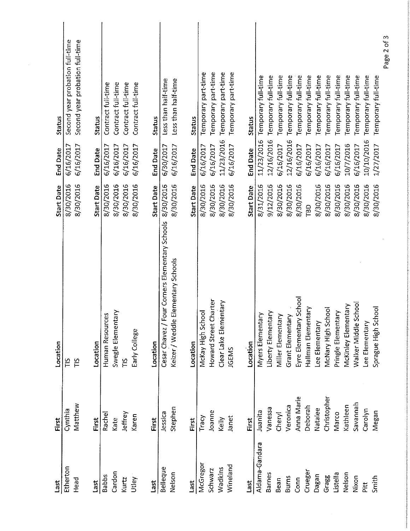| Last           | First       | Location                                           | <b>Start Date</b> | <b>End Date</b> | Status                          |
|----------------|-------------|----------------------------------------------------|-------------------|-----------------|---------------------------------|
| Etherton       | Cynthia     | $\frac{5}{10}$                                     | 8/30/2016         | 6/16/2017       | Second year probation full-time |
| Head           | Matthew     | $\frac{5}{10}$                                     | 8/30/2016         | 6/16/2017       | Second year probation full-time |
| Last           | First       | Location                                           | <b>Start Date</b> | <b>End Date</b> | Status                          |
| <b>Babbs</b>   | Rachel      | Human Resources                                    | 8/30/2016         | 6/16/2017       | Contract full-time              |
| Cardon         | Kate        | Swegle Elementary                                  | 8/30/2016         | 6/16/2017       | Contract full-time              |
| Kurtz          | Jeffrey     | $\frac{8}{11}$                                     | 8/30/2016         | 6/16/2017       | Contract full-time              |
| Utley          | Karen       | Early College                                      | 8/30/2016         | 6/16/2017       | Contract full-time              |
| Last           | First       | Location                                           | <b>Start Date</b> | <b>End Date</b> | <b>Status</b>                   |
| Belleque       | Jessica     | our Corners Elementary Schools<br>Cesar Chavez / F | 8/30/2016         | 6/30/2017       | Less than half-time             |
| Nelson         | Stephen     | Elementary Schools<br>Keizer / Weddle              | 8/30/2016         | 6/16/2017       | Less than half-time             |
| Last           | First       | Location                                           | <b>Start Date</b> | <b>End Date</b> | <b>Status</b>                   |
| McGregor       | Tracy       | McKay High School                                  | 8/30/2016         | 6/16/2017       | Temporary part-time             |
| Schwarz        | Joanne      | Howard Street Charter                              | 8/30/2016         | 6/16/2017       | Temporary part-time             |
| Wadkins        | Kelly       | Clear Lake Elementary                              | 8/30/2016         | 11/23/2016      | Temporary part-time             |
| Wineland       | Janet       | JGEMS                                              | 8/30/2016         | 6/16/2017       | Temporary part-time             |
| Last           | First       | Location                                           | <b>Start Date</b> | <b>End Date</b> | <b>Status</b>                   |
| Aldama-Gandara | Juanita     | Myers Elementary                                   | 8/31/2016         | 11/23/2016      | Temporary full-time             |
| <b>Barnes</b>  | Vanessa     | Liberty Elementary                                 | 9/12/2016         | 12/16/2016      | Temporary full-time             |
| Bean           | Cheryl      | <b>Miller Elementary</b>                           | 8/30/2016         | 6/16/2017       | Temporary full-time             |
| <b>Burns</b>   | Veronica    | Grant Elementary                                   | 8/30/2016         | 12/16/2016      | Temporary full-time             |
| Conn           | Anna Marie  | School<br>Eyre Elementary                          | 8/30/2016         | 6/16/2017       | Temporary full-time             |
| Crueger        | Deborah     | Hallman Elementary                                 | TBD               | 6/16/2017       | Temporary full-time             |
| Dagan          | Natalee     | Lee Elementary                                     | 8/30/2016         | 6/16/2017       | Temporary full-time             |
| Gragg          | Christopher | McNary High School                                 | 8/30/2016         | 6/16/2017       | Temporary full-time             |
| Listella       | Marco       | Pringle Elementary                                 | 8/30/2016         | 6/16/2017       | Temporary full-time             |
| Nelson         | Kathleen    | McKinley Elementary                                | 8/30/2016         | 10/7/2016       | Temporary full-time             |
| Nixon          | Savannah    | Walker Middle School                               | 8/30/2016         | 6/16/2017       | Temporary full-time             |
| Pitt           | Carolyn     | Lee Elementary                                     | 8/30/2016         | 10/10/2016      | Temporary full-time             |
| Smith          | Megan       | Sprague High School                                | 8/30/2016         | 1/27/2017       | Temporary full-time             |
|                |             |                                                    |                   |                 | Page 2 of 3                     |

 $\frac{1}{2}$ 

 $\mathcal{L}_{\mathcal{L}}$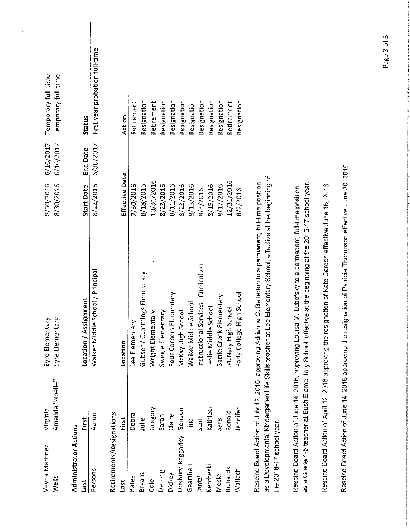| Veyna Martinez               | Virginia                                                | Eyre Elementary                                                                                                                                                                                                          | 8/30/2016         | 6/16/2017       | Temporary full-time            |
|------------------------------|---------------------------------------------------------|--------------------------------------------------------------------------------------------------------------------------------------------------------------------------------------------------------------------------|-------------------|-----------------|--------------------------------|
| Wells                        | Amanda "Noelle"                                         | Eyre Elementary                                                                                                                                                                                                          | 8/30/2016         | 6/16/2017       | Temporary full-time            |
| <b>Administrator Actions</b> |                                                         |                                                                                                                                                                                                                          |                   |                 |                                |
| Last                         | First                                                   | Location / Assignment                                                                                                                                                                                                    | <b>Start Date</b> | <b>End Date</b> | Status                         |
| Persons                      | Aaron                                                   | School / Principal<br>Walker Middle                                                                                                                                                                                      | 8/22/2016         | 6/30/2017       | First year probation full-time |
| Retirements/Resignations     |                                                         |                                                                                                                                                                                                                          |                   |                 |                                |
| Last                         | First                                                   | Location                                                                                                                                                                                                                 | Effective Date    |                 | Action                         |
| <b>Bates</b>                 | Debra                                                   | Lee Elementary                                                                                                                                                                                                           | 7/30/2016         |                 | Retirement                     |
| Bryant                       | Julie                                                   | Gubser / Cummings Elementary                                                                                                                                                                                             | 8/18/2016         |                 | Resignation                    |
| Cole                         | Gregory                                                 | Wright Elementary                                                                                                                                                                                                        | 10/31/2016        |                 | Retirement                     |
| DeLong                       | Sarah                                                   | Swegle Elementary                                                                                                                                                                                                        | 8/23/2016         |                 | Resignation                    |
| Dickey                       | Claire                                                  | Four Corners Elementary                                                                                                                                                                                                  | 8/11/2016         |                 | Resignation                    |
| Duxbury-Baggarley            | Geneen                                                  | McKay High School                                                                                                                                                                                                        | 8/23/2016         |                 | Resignation                    |
| Gearthart                    | Tina                                                    | Walker Middle School                                                                                                                                                                                                     | 8/15/2016         |                 | Resignation                    |
| Jantzi                       | Scott                                                   | Instructional Services - Curriculum                                                                                                                                                                                      | 8/3/2016          |                 | Resignation                    |
| Kercheski                    | Kathleen                                                | Leslie Middle School                                                                                                                                                                                                     | 8/15/2016         |                 | Resignation                    |
| Mesler                       | Sara                                                    | Battle Creek Elementary                                                                                                                                                                                                  | 8/17/2016         |                 | Resignation                    |
| Richards                     | Ronald                                                  | McNary High School                                                                                                                                                                                                       | 12/31/2016        |                 | Retirement                     |
| Wallach                      | lennifer                                                | Early College High School                                                                                                                                                                                                | 8/2/2016          |                 | Resignation                    |
| the 2016-17 school year.     |                                                         | as a Developmental Kindergarten Life Skills teacher at Lee Elementary School, effective at the beginning of<br>Rescind Board Action of July 12, 2016, approving Adrianne C. Betterton to a permanent, full-time position |                   |                 |                                |
|                              | Rescind Board Action of June 14, 2016, approving Louisa | as a Grade 4-5 teacher at Bush Elementary School, effective at the beginning of the 2016-17 school year.<br>M. Lubofsky to a permanent, full-time position                                                               |                   |                 |                                |
|                              |                                                         | Rescind Board Action of April 12, 2016 approving the resignation of Kate Cardon effective June 16, 2016                                                                                                                  |                   |                 |                                |
|                              |                                                         | Rescind Board Action of June 14, 2016 approving the resignation of Patricia Thompson effective June 30, 2016                                                                                                             |                   |                 |                                |
|                              |                                                         |                                                                                                                                                                                                                          |                   |                 |                                |

 $\frac{1}{2}$ 

 $\frac{1}{2} \left( \frac{1}{2} \right)$ 

 $\frac{1}{2}$ 

Page 3 of 3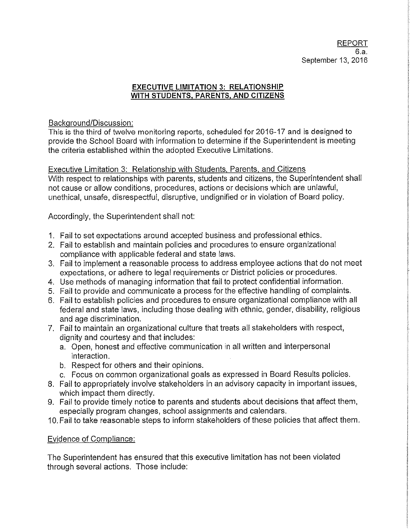## **EXECUTIVE LIMITATION 3: RELATIONSHIP** WITH STUDENTS, PARENTS, AND CITIZENS

## Background/Discussion:

This is the third of twelve monitoring reports, scheduled for 2016-17 and is designed to provide the School Board with information to determine if the Superintendent is meeting the criteria established within the adopted Executive Limitations.

Executive Limitation 3: Relationship with Students, Parents, and Citizens With respect to relationships with parents, students and citizens, the Superintendent shall not cause or allow conditions, procedures, actions or decisions which are unlawful, unethical, unsafe, disrespectful, disruptive, undignified or in violation of Board policy.

Accordingly, the Superintendent shall not:

- 1. Fail to set expectations around accepted business and professional ethics.
- 2. Fail to establish and maintain policies and procedures to ensure organizational compliance with applicable federal and state laws.
- 3. Fail to implement a reasonable process to address employee actions that do not meet expectations, or adhere to legal requirements or District policies or procedures.
- 4. Use methods of managing information that fail to protect confidential information.
- 5. Fail to provide and communicate a process for the effective handling of complaints.
- 6. Fail to establish policies and procedures to ensure organizational compliance with all federal and state laws, including those dealing with ethnic, gender, disability, religious and age discrimination.
- 7. Fail to maintain an organizational culture that treats all stakeholders with respect, dignity and courtesy and that includes:
	- a. Open, honest and effective communication in all written and interpersonal interaction.
	- b. Respect for others and their opinions.
	- c. Focus on common organizational goals as expressed in Board Results policies.
- 8. Fail to appropriately involve stakeholders in an advisory capacity in important issues. which impact them directly.
- 9. Fail to provide timely notice to parents and students about decisions that affect them, especially program changes, school assignments and calendars.
- 10. Fail to take reasonable steps to inform stakeholders of these policies that affect them.

## Evidence of Compliance:

The Superintendent has ensured that this executive limitation has not been violated through several actions. Those include: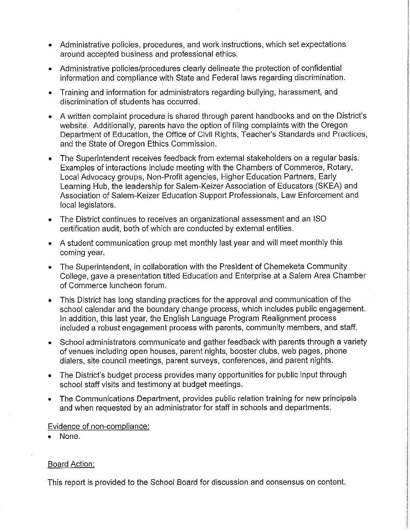- Administrative policies, procedures, and work instructions, which set expectations around accepted business and professional ethics.
- Administrative policies/procedures clearly delineate the protection of confidential information and compliance with State and Federal laws regarding discrimination.
- Training and information for administrators regarding bullying, harassment, and discrimination of students has occurred
- A written complaint procedure is shared through parent handbooks and on the District's website. Additionally, parents have the option of filing complaints with the Oregon Department of Education, the Office of Civil Rights, Teacher's Standards and Practices, and the State of Oregon Ethics Commission.
- The Superintendent receives feedback from external stakeholders on a regular basis. Examples of interactions include meeting with the Chambers of Commerce, Rotary, Local Advocacy groups, Non-Profit agencies, Higher Education Partners, Early Learning Hub, the leadership for Salem-Keizer Association of Educators (SKEA) and Association of Salem-Keizer Education Support Professionals, Law Enforcement and local legislators.
- The District continues to receives an organizational assessment and an ISO certification audit, both of which are conducted by external entities.
- A student communication group met monthly last year and will meet monthly this coming year.
- The Superintendent, in collaboration with the President of Chemeketa Community College, gave a presentation titled Education and Enterprise at a Salem Area Chamber of Commerce luncheon forum.
- This District has long standing practices for the approval and communication of the  $\bullet$ school calendar and the boundary change process, which includes public engagement. In addition, this last year, the English Language Program Realignment process included a robust engagement process with parents, community members, and staff.
- School administrators communicate and gather feedback with parents through a variety  $\bullet$ of venues including open houses, parent nights, booster clubs, web pages, phone dialers, site council meetings, parent surveys, conferences, and parent nights.
- The District's budget process provides many opportunities for public input through  $\bullet$ school staff visits and testimony at budget meetings.
- The Communications Department, provides public relation training for new principals  $\bullet$ and when requested by an administrator for staff in schools and departments.

## Evidence of non-compliance:

None.  $\bullet$ 

## **Board Action:**

This report is provided to the School Board for discussion and consensus on content.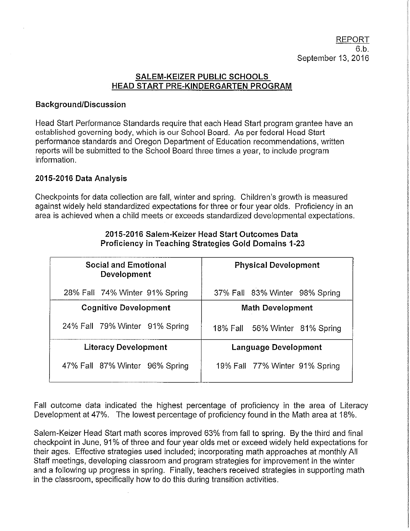## SALEM-KEIZER PUBLIC SCHOOLS HEAD START PRE-KINDERGARTEN PROGRAM

## **Background/Discussion**

Head Start Performance Standards require that each Head Start program grantee have an established governing body, which is our School Board. As per federal Head Start performance standards and Oregon Department of Education recommendations, written reports will be submitted to the School Board three times a year, to include program information.

## 2015-2016 Data Analysis

Checkpoints for data collection are fall, winter and spring. Children's growth is measured against widely held standardized expectations for three or four year olds. Proficiency in an area is achieved when a child meets or exceeds standardized developmental expectations.

| <b>Social and Emotional</b><br>Development | <b>Physical Development</b>    |
|--------------------------------------------|--------------------------------|
| 28% Fall 74% Winter 91% Spring             | 37% Fall 83% Winter 98% Spring |
| <b>Cognitive Development</b>               | <b>Math Development</b>        |
| 24% Fall 79% Winter 91% Spring             | 18% Fall 56% Winter 81% Spring |
| <b>Literacy Development</b>                | <b>Language Development</b>    |
| 47% Fall 87% Winter 96% Spring             | 19% Fall 77% Winter 91% Spring |

## 2015-2016 Salem-Keizer Head Start Outcomes Data Proficiency in Teaching Strategies Gold Domains 1-23

Fall outcome data indicated the highest percentage of proficiency in the area of Literacy Development at 47%. The lowest percentage of proficiency found in the Math area at 18%.

Salem-Keizer Head Start math scores improved 63% from fall to spring. By the third and final checkpoint in June, 91% of three and four year olds met or exceed widely held expectations for their ages. Effective strategies used included; incorporating math approaches at monthly All Staff meetings, developing classroom and program strategies for improvement in the winter and a following up progress in spring. Finally, teachers received strategies in supporting math in the classroom, specifically how to do this during transition activities.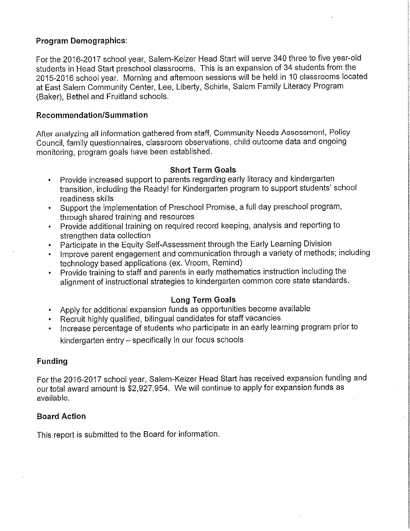## **Program Demographics:**

For the 2016-2017 school year, Salem-Keizer Head Start will serve 340 three to five year-old students in Head Start preschool classrooms. This is an expansion of 34 students from the 2015-2016 school year. Morning and afternoon sessions will be held in 10 classrooms located at East Salem Community Center, Lee, Liberty, Schirle, Salem Family Literacy Program (Baker), Bethel and Fruitland schools.

## Recommendation/Summation

After analyzing all information gathered from staff, Community Needs Assessment, Policy Council, family questionnaires, classroom observations, child outcome data and ongoing monitoring, program goals have been established.

## **Short Term Goals**

- Provide increased support to parents regarding early literacy and kindergarten transition, including the Ready! for Kindergarten program to support students' school readiness skills
- Support the implementation of Preschool Promise, a full day preschool program, through shared training and resources
- Provide additional training on required record keeping, analysis and reporting to strengthen data collection
- Participate in the Equity Self-Assessment through the Early Learning Division
- Improve parent engagement and communication through a variety of methods; including technology based applications (ex. Vroom, Remind)
- Provide training to staff and parents in early mathematics instruction including the alignment of instructional strategies to kindergarten common core state standards.

## Long Term Goals

- Apply for additional expansion funds as opportunities become available
- Recruit highly qualified, bilingual candidates for staff vacancies
- Increase percentage of students who participate in an early learning program prior to kindergarten entry - specifically in our focus schools

## **Funding**

For the 2016-2017 school year, Salem-Keizer Head Start has received expansion funding and our total award amount is \$2,927,954. We will continue to apply for expansion funds as available.

## **Board Action**

This report is submitted to the Board for information.